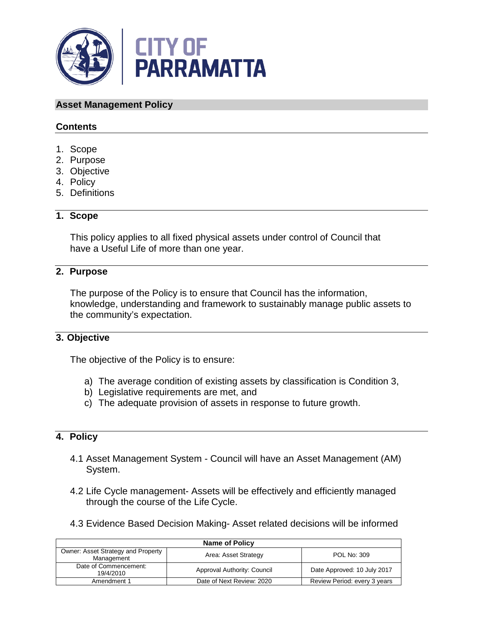

#### **Asset Management Policy**

## **Contents**

- 1. Scope
- 2. Purpose
- 3. Objective
- 4. Policy
- 5. Definitions

## **1. Scope**

This policy applies to all fixed physical assets under control of Council that have a Useful Life of more than one year.

# **2. Purpose**

The purpose of the Policy is to ensure that Council has the information, knowledge, understanding and framework to sustainably manage public assets to the community's expectation.

#### **3. Objective**

The objective of the Policy is to ensure:

- a) The average condition of existing assets by classification is Condition 3,
- b) Legislative requirements are met, and
- c) The adequate provision of assets in response to future growth.

## **4. Policy**

- 4.1 Asset Management System Council will have an Asset Management (AM) System.
- 4.2 Life Cycle management- Assets will be effectively and efficiently managed through the course of the Life Cycle.
- 4.3 Evidence Based Decision Making- Asset related decisions will be informed

| <b>Name of Policy</b>                            |                             |                              |
|--------------------------------------------------|-----------------------------|------------------------------|
| Owner: Asset Strategy and Property<br>Management | Area: Asset Strategy        | <b>POL No: 309</b>           |
| Date of Commencement:<br>19/4/2010               | Approval Authority: Council | Date Approved: 10 July 2017  |
| Amendment 1                                      | Date of Next Review: 2020   | Review Period: every 3 years |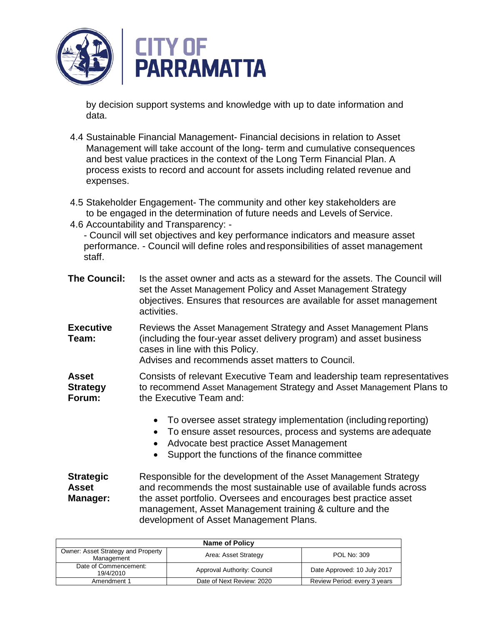

by decision support systems and knowledge with up to date information and data.

- 4.4 Sustainable Financial Management- Financial decisions in relation to Asset Management will take account of the long- term and cumulative consequences and best value practices in the context of the Long Term Financial Plan. A process exists to record and account for assets including related revenue and expenses.
- 4.5 Stakeholder Engagement- The community and other key stakeholders are to be engaged in the determination of future needs and Levels of Service.
- 4.6 Accountability and Transparency: -

- Council will set objectives and key performance indicators and measure asset performance. - Council will define roles and responsibilities of asset management staff.

| <b>The Council:</b>                          | Is the asset owner and acts as a steward for the assets. The Council will<br>set the Asset Management Policy and Asset Management Strategy<br>objectives. Ensures that resources are available for asset management<br>activities.                                                                             |
|----------------------------------------------|----------------------------------------------------------------------------------------------------------------------------------------------------------------------------------------------------------------------------------------------------------------------------------------------------------------|
| <b>Executive</b><br>Team:                    | Reviews the Asset Management Strategy and Asset Management Plans<br>(including the four-year asset delivery program) and asset business<br>cases in line with this Policy.<br>Advises and recommends asset matters to Council.                                                                                 |
| <b>Asset</b><br><b>Strategy</b><br>Forum:    | Consists of relevant Executive Team and leadership team representatives<br>to recommend Asset Management Strategy and Asset Management Plans to<br>the Executive Team and:                                                                                                                                     |
|                                              | To oversee asset strategy implementation (including reporting)<br>To ensure asset resources, process and systems are adequate<br>$\bullet$<br>Advocate best practice Asset Management<br>$\bullet$<br>Support the functions of the finance committee                                                           |
| <b>Strategic</b><br><b>Asset</b><br>Manager: | Responsible for the development of the Asset Management Strategy<br>and recommends the most sustainable use of available funds across<br>the asset portfolio. Oversees and encourages best practice asset<br>management, Asset Management training & culture and the<br>development of Asset Management Plans. |

| <b>Name of Policy</b>                            |                             |                              |
|--------------------------------------------------|-----------------------------|------------------------------|
| Owner: Asset Strategy and Property<br>Management | Area: Asset Strategy        | POL No: 309                  |
| Date of Commencement:<br>19/4/2010               | Approval Authority: Council | Date Approved: 10 July 2017  |
| Amendment 1                                      | Date of Next Review: 2020   | Review Period: every 3 years |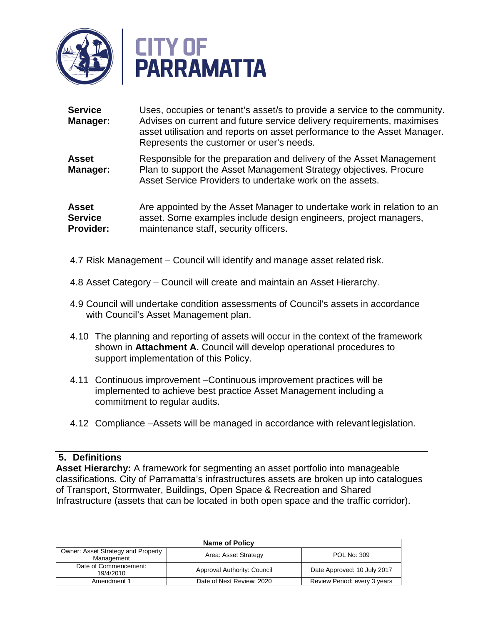

| <b>Service</b><br>Manager:                         | Uses, occupies or tenant's asset/s to provide a service to the community.<br>Advises on current and future service delivery requirements, maximises<br>asset utilisation and reports on asset performance to the Asset Manager.<br>Represents the customer or user's needs. |
|----------------------------------------------------|-----------------------------------------------------------------------------------------------------------------------------------------------------------------------------------------------------------------------------------------------------------------------------|
| <b>Asset</b><br>Manager:                           | Responsible for the preparation and delivery of the Asset Management<br>Plan to support the Asset Management Strategy objectives. Procure<br>Asset Service Providers to undertake work on the assets.                                                                       |
| <b>Asset</b><br><b>Service</b><br><b>Provider:</b> | Are appointed by the Asset Manager to undertake work in relation to an<br>asset. Some examples include design engineers, project managers,<br>maintenance staff, security officers.                                                                                         |

- 4.7 Risk Management Council will identify and manage asset related risk.
- 4.8 Asset Category Council will create and maintain an Asset Hierarchy.
- 4.9 Council will undertake condition assessments of Council's assets in accordance with Council's Asset Management plan.
- 4.10 The planning and reporting of assets will occur in the context of the framework shown in **Attachment A.** Council will develop operational procedures to support implementation of this Policy.
- 4.11 Continuous improvement –Continuous improvement practices will be implemented to achieve best practice Asset Management including a commitment to regular audits.
- 4.12 Compliance –Assets will be managed in accordance with relevant legislation.

#### **5. Definitions**

**Asset Hierarchy:** A framework for segmenting an asset portfolio into manageable classifications. City of Parramatta's infrastructures assets are broken up into catalogues of Transport, Stormwater, Buildings, Open Space & Recreation and Shared Infrastructure (assets that can be located in both open space and the traffic corridor).

| <b>Name of Policy</b>                            |                             |                              |
|--------------------------------------------------|-----------------------------|------------------------------|
| Owner: Asset Strategy and Property<br>Management | Area: Asset Strategy        | POL No: 309                  |
| Date of Commencement:<br>19/4/2010               | Approval Authority: Council | Date Approved: 10 July 2017  |
| Amendment 1                                      | Date of Next Review: 2020   | Review Period: every 3 years |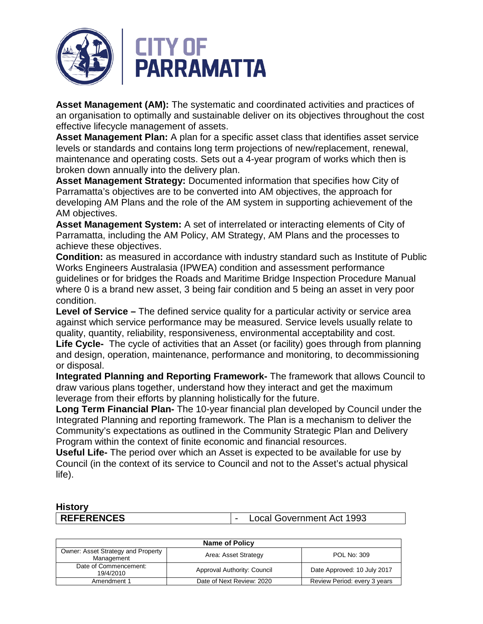

**Asset Management (AM):** The systematic and coordinated activities and practices of an organisation to optimally and sustainable deliver on its objectives throughout the cost effective lifecycle management of assets.

**Asset Management Plan:** A plan for a specific asset class that identifies asset service levels or standards and contains long term projections of new/replacement, renewal, maintenance and operating costs. Sets out a 4-year program of works which then is broken down annually into the delivery plan.

**Asset Management Strategy:** Documented information that specifies how City of Parramatta's objectives are to be converted into AM objectives, the approach for developing AM Plans and the role of the AM system in supporting achievement of the AM objectives.

**Asset Management System:** A set of interrelated or interacting elements of City of Parramatta, including the AM Policy, AM Strategy, AM Plans and the processes to achieve these objectives.

**Condition:** as measured in accordance with industry standard such as Institute of Public Works Engineers Australasia (IPWEA) condition and assessment performance guidelines or for bridges the Roads and Maritime Bridge Inspection Procedure Manual where 0 is a brand new asset, 3 being fair condition and 5 being an asset in very poor condition.

**Level of Service –** The defined service quality for a particular activity or service area against which service performance may be measured. Service levels usually relate to quality, quantity, reliability, responsiveness, environmental acceptability and cost.

**Life Cycle-** The cycle of activities that an Asset (or facility) goes through from planning and design, operation, maintenance, performance and monitoring, to decommissioning or disposal.

**Integrated Planning and Reporting Framework-** The framework that allows Council to draw various plans together, understand how they interact and get the maximum leverage from their efforts by planning holistically for the future.

**Long Term Financial Plan-** The 10-year financial plan developed by Council under the Integrated Planning and reporting framework. The Plan is a mechanism to deliver the Community's expectations as outlined in the Community Strategic Plan and Delivery Program within the context of finite economic and financial resources.

**Useful Life-** The period over which an Asset is expected to be available for use by Council (in the context of its service to Council and not to the Asset's actual physical life).

# **History**

**REFERENCES** |- Local Government Act 1993

| <b>Name of Policy</b>                            |                             |                              |
|--------------------------------------------------|-----------------------------|------------------------------|
| Owner: Asset Strategy and Property<br>Management | Area: Asset Strategy        | POL No: 309                  |
| Date of Commencement:<br>19/4/2010               | Approval Authority: Council | Date Approved: 10 July 2017  |
| Amendment 1                                      | Date of Next Review: 2020   | Review Period: every 3 years |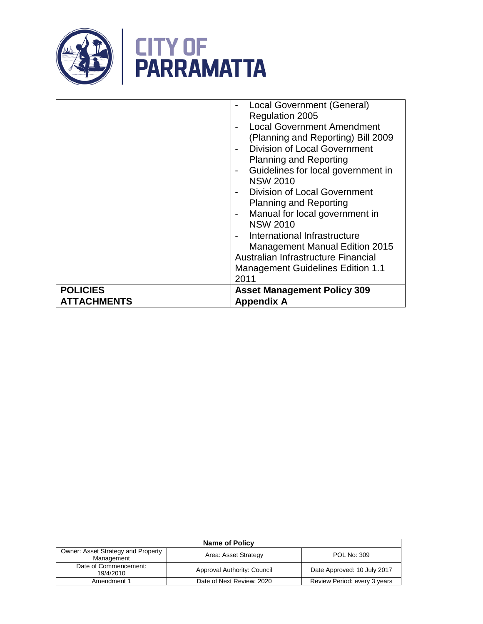

|                    | Local Government (General)<br>Regulation 2005<br><b>Local Government Amendment</b><br>(Planning and Reporting) Bill 2009<br><b>Division of Local Government</b><br><b>Planning and Reporting</b><br>Guidelines for local government in<br><b>NSW 2010</b><br><b>Division of Local Government</b><br><b>Planning and Reporting</b><br>Manual for local government in<br><b>NSW 2010</b><br>International Infrastructure<br><b>Management Manual Edition 2015</b><br>Australian Infrastructure Financial<br><b>Management Guidelines Edition 1.1</b><br>2011 |  |
|--------------------|------------------------------------------------------------------------------------------------------------------------------------------------------------------------------------------------------------------------------------------------------------------------------------------------------------------------------------------------------------------------------------------------------------------------------------------------------------------------------------------------------------------------------------------------------------|--|
| <b>POLICIES</b>    | <b>Asset Management Policy 309</b>                                                                                                                                                                                                                                                                                                                                                                                                                                                                                                                         |  |
| <b>ATTACHMENTS</b> | <b>Appendix A</b>                                                                                                                                                                                                                                                                                                                                                                                                                                                                                                                                          |  |

| <b>Name of Policy</b>                            |                             |                              |
|--------------------------------------------------|-----------------------------|------------------------------|
| Owner: Asset Strategy and Property<br>Management | Area: Asset Strategy        | POL No: 309                  |
| Date of Commencement:<br>19/4/2010               | Approval Authority: Council | Date Approved: 10 July 2017  |
| Amendment 1                                      | Date of Next Review: 2020   | Review Period: every 3 years |